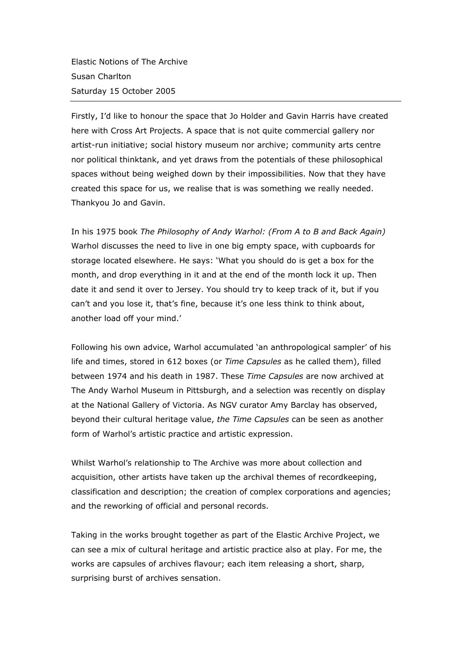Elastic Notions of The Archive Susan Charlton Saturday 15 October 2005

Firstly, I'd like to honour the space that Jo Holder and Gavin Harris have created here with Cross Art Projects. A space that is not quite commercial gallery nor artist-run initiative; social history museum nor archive; community arts centre nor political thinktank, and yet draws from the potentials of these philosophical spaces without being weighed down by their impossibilities. Now that they have created this space for us, we realise that is was something we really needed. Thankyou Jo and Gavin.

In his 1975 book *The Philosophy of Andy Warhol: (From A to B and Back Again)* Warhol discusses the need to live in one big empty space, with cupboards for storage located elsewhere. He says: 'What you should do is get a box for the month, and drop everything in it and at the end of the month lock it up. Then date it and send it over to Jersey. You should try to keep track of it, but if you can't and you lose it, that's fine, because it's one less think to think about, another load off your mind.'

Following his own advice, Warhol accumulated 'an anthropological sampler' of his life and times, stored in 612 boxes (or *Time Capsules* as he called them), filled between 1974 and his death in 1987. These *Time Capsules* are now archived at The Andy Warhol Museum in Pittsburgh, and a selection was recently on display at the National Gallery of Victoria. As NGV curator Amy Barclay has observed, beyond their cultural heritage value, *the Time Capsules* can be seen as another form of Warhol's artistic practice and artistic expression.

Whilst Warhol's relationship to The Archive was more about collection and acquisition, other artists have taken up the archival themes of recordkeeping, classification and description; the creation of complex corporations and agencies; and the reworking of official and personal records.

Taking in the works brought together as part of the Elastic Archive Project, we can see a mix of cultural heritage and artistic practice also at play. For me, the works are capsules of archives flavour; each item releasing a short, sharp, surprising burst of archives sensation.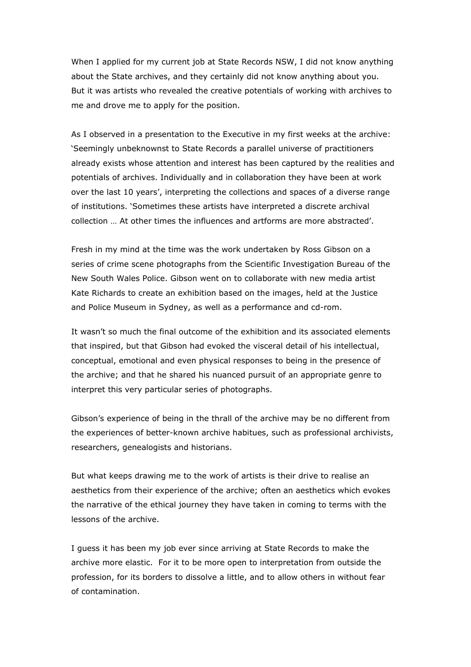When I applied for my current job at State Records NSW, I did not know anything about the State archives, and they certainly did not know anything about you. But it was artists who revealed the creative potentials of working with archives to me and drove me to apply for the position.

As I observed in a presentation to the Executive in my first weeks at the archive: 'Seemingly unbeknownst to State Records a parallel universe of practitioners already exists whose attention and interest has been captured by the realities and potentials of archives. Individually and in collaboration they have been at work over the last 10 years', interpreting the collections and spaces of a diverse range of institutions. 'Sometimes these artists have interpreted a discrete archival collection … At other times the influences and artforms are more abstracted'.

Fresh in my mind at the time was the work undertaken by Ross Gibson on a series of crime scene photographs from the Scientific Investigation Bureau of the New South Wales Police. Gibson went on to collaborate with new media artist Kate Richards to create an exhibition based on the images, held at the Justice and Police Museum in Sydney, as well as a performance and cd-rom.

It wasn't so much the final outcome of the exhibition and its associated elements that inspired, but that Gibson had evoked the visceral detail of his intellectual, conceptual, emotional and even physical responses to being in the presence of the archive; and that he shared his nuanced pursuit of an appropriate genre to interpret this very particular series of photographs.

Gibson's experience of being in the thrall of the archive may be no different from the experiences of better-known archive habitues, such as professional archivists, researchers, genealogists and historians.

But what keeps drawing me to the work of artists is their drive to realise an aesthetics from their experience of the archive; often an aesthetics which evokes the narrative of the ethical journey they have taken in coming to terms with the lessons of the archive.

I guess it has been my job ever since arriving at State Records to make the archive more elastic. For it to be more open to interpretation from outside the profession, for its borders to dissolve a little, and to allow others in without fear of contamination.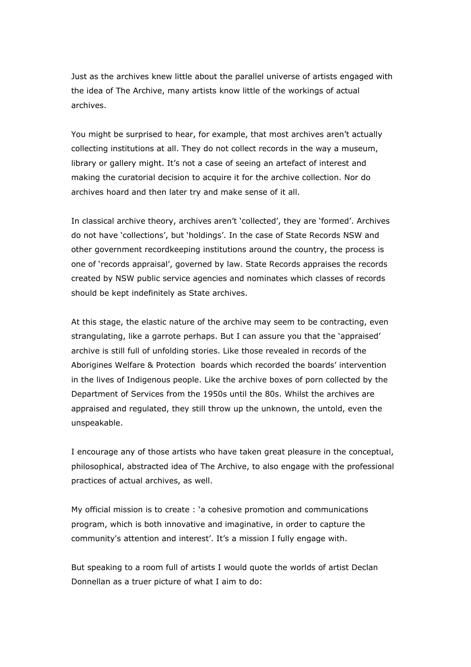Just as the archives knew little about the parallel universe of artists engaged with the idea of The Archive, many artists know little of the workings of actual archives.

You might be surprised to hear, for example, that most archives aren't actually collecting institutions at all. They do not collect records in the way a museum, library or gallery might. It's not a case of seeing an artefact of interest and making the curatorial decision to acquire it for the archive collection. Nor do archives hoard and then later try and make sense of it all.

In classical archive theory, archives aren't 'collected', they are 'formed'. Archives do not have 'collections', but 'holdings'. In the case of State Records NSW and other government recordkeeping institutions around the country, the process is one of 'records appraisal', governed by law. State Records appraises the records created by NSW public service agencies and nominates which classes of records should be kept indefinitely as State archives.

At this stage, the elastic nature of the archive may seem to be contracting, even strangulating, like a garrote perhaps. But I can assure you that the 'appraised' archive is still full of unfolding stories. Like those revealed in records of the Aborigines Welfare & Protection boards which recorded the boards' intervention in the lives of Indigenous people. Like the archive boxes of porn collected by the Department of Services from the 1950s until the 80s. Whilst the archives are appraised and regulated, they still throw up the unknown, the untold, even the unspeakable.

I encourage any of those artists who have taken great pleasure in the conceptual, philosophical, abstracted idea of The Archive, to also engage with the professional practices of actual archives, as well.

My official mission is to create : 'a cohesive promotion and communications program, which is both innovative and imaginative, in order to capture the community's attention and interest'. It's a mission I fully engage with.

But speaking to a room full of artists I would quote the worlds of artist Declan Donnellan as a truer picture of what I aim to do: